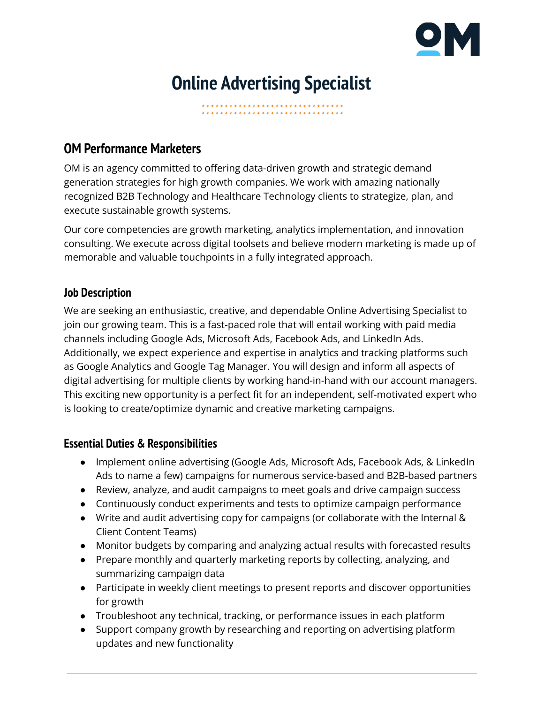

# **Online Advertising Specialist**

**OM Performance Marketers**

OM is an agency committed to offering data-driven growth and strategic demand generation strategies for high growth companies. We work with amazing nationally recognized B2B Technology and Healthcare Technology clients to strategize, plan, and execute sustainable growth systems.

Our core competencies are growth marketing, analytics implementation, and innovation consulting. We execute across digital toolsets and believe modern marketing is made up of memorable and valuable touchpoints in a fully integrated approach.

### **Job Description**

We are seeking an enthusiastic, creative, and dependable Online Advertising Specialist to join our growing team. This is a fast-paced role that will entail working with paid media channels including Google Ads, Microsoft Ads, Facebook Ads, and LinkedIn Ads. Additionally, we expect experience and expertise in analytics and tracking platforms such as Google Analytics and Google Tag Manager. You will design and inform all aspects of digital advertising for multiple clients by working hand-in-hand with our account managers. This exciting new opportunity is a perfect fit for an independent, self-motivated expert who is looking to create/optimize dynamic and creative marketing campaigns.

#### **Essential Duties & Responsibilities**

- Implement online advertising (Google Ads, Microsoft Ads, Facebook Ads, & LinkedIn Ads to name a few) campaigns for numerous service-based and B2B-based partners
- Review, analyze, and audit campaigns to meet goals and drive campaign success
- Continuously conduct experiments and tests to optimize campaign performance
- Write and audit advertising copy for campaigns (or collaborate with the Internal & Client Content Teams)
- Monitor budgets by comparing and analyzing actual results with forecasted results
- Prepare monthly and quarterly marketing reports by collecting, analyzing, and summarizing campaign data
- Participate in weekly client meetings to present reports and discover opportunities for growth
- Troubleshoot any technical, tracking, or performance issues in each platform
- Support company growth by researching and reporting on advertising platform updates and new functionality